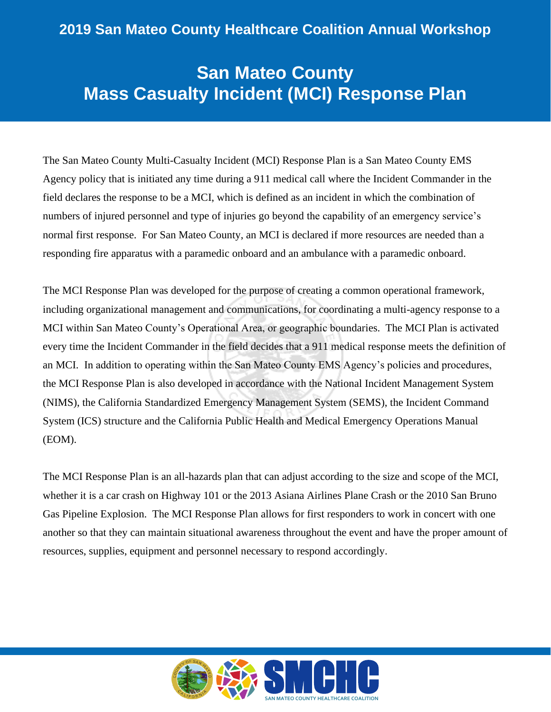## **San Mateo County Mass Casualty Incident (MCI) Response Plan**

The San Mateo County Multi-Casualty Incident (MCI) Response Plan is a San Mateo County EMS Agency policy that is initiated any time during a 911 medical call where the Incident Commander in the field declares the response to be a MCI, which is defined as an incident in which the combination of numbers of injured personnel and type of injuries go beyond the capability of an emergency service's normal first response. For San Mateo County, an MCI is declared if more resources are needed than a responding fire apparatus with a paramedic onboard and an ambulance with a paramedic onboard.

The MCI Response Plan was developed for the purpose of creating a common operational framework, including organizational management and communications, for coordinating a multi-agency response to a MCI within San Mateo County's Operational Area, or geographic boundaries. The MCI Plan is activated every time the Incident Commander in the field decides that a 911 medical response meets the definition of an MCI. In addition to operating within the San Mateo County EMS Agency's policies and procedures, the MCI Response Plan is also developed in accordance with the National Incident Management System (NIMS), the California Standardized Emergency Management System (SEMS), the Incident Command System (ICS) structure and the California Public Health and Medical Emergency Operations Manual (EOM).

The MCI Response Plan is an all-hazards plan that can adjust according to the size and scope of the MCI, whether it is a car crash on Highway 101 or the 2013 Asiana Airlines Plane Crash or the 2010 San Bruno Gas Pipeline Explosion. The MCI Response Plan allows for first responders to work in concert with one another so that they can maintain situational awareness throughout the event and have the proper amount of resources, supplies, equipment and personnel necessary to respond accordingly.